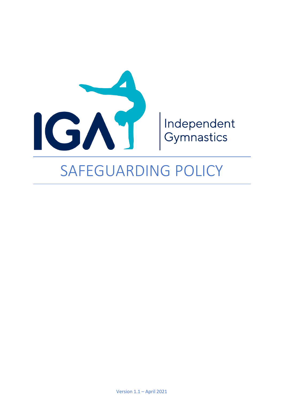

# SAFEGUARDING POLICY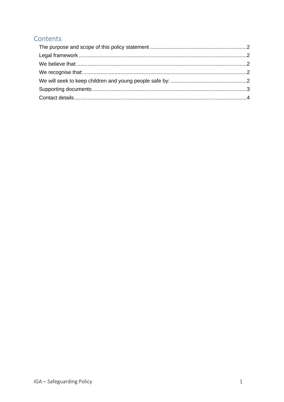## Contents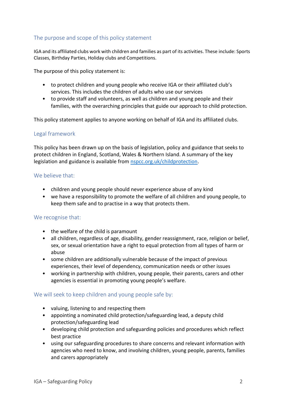## <span id="page-2-0"></span>The purpose and scope of this policy statement

IGA and its affiliated clubs work with children and families as part of its activities. These include: Sports Classes, Birthday Parties, Holiday clubs and Competitions.

The purpose of this policy statement is:

- to protect children and young people who receive IGA or their affiliated club's services. This includes the children of adults who use our services
- to provide staff and volunteers, as well as children and young people and their families, with the overarching principles that guide our approach to child protection.

This policy statement applies to anyone working on behalf of IGA and its affiliated clubs.

## <span id="page-2-1"></span>Legal framework

This policy has been drawn up on the basis of legislation, policy and guidance that seeks to protect children in England, Scotland, Wales & Northern Island. A summary of the key legislation and guidance is available from [nspcc.org.uk/childprotection.](file:///D:/1%20Dropbox/Dropbox%20(Jason%20Wise)/1%20Work/IGA/IGAA%20-%20Office/3%20Documents/1%20Templates/nspcc.org.uk/childprotection)

## <span id="page-2-2"></span>We believe that:

- children and young people should never experience abuse of any kind
- we have a responsibility to promote the welfare of all children and young people, to keep them safe and to practise in a way that protects them.

## <span id="page-2-3"></span>We recognise that:

- the welfare of the child is paramount
- all children, regardless of age, disability, gender reassignment, race, religion or belief, sex, or sexual orientation have a right to equal protection from all types of harm or abuse
- some children are additionally vulnerable because of the impact of previous experiences, their level of dependency, communication needs or other issues
- working in partnership with children, young people, their parents, carers and other agencies is essential in promoting young people's welfare.

## <span id="page-2-4"></span>We will seek to keep children and young people safe by:

- valuing, listening to and respecting them
- appointing a nominated child protection/safeguarding lead, a deputy child protection/safeguarding lead
- developing child protection and safeguarding policies and procedures which reflect best practice
- using our safeguarding procedures to share concerns and relevant information with agencies who need to know, and involving children, young people, parents, families and carers appropriately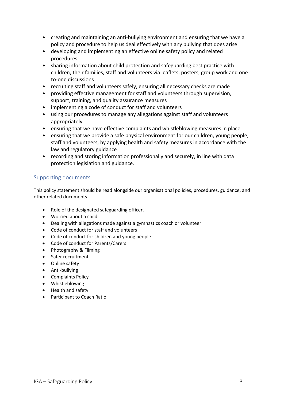- creating and maintaining an anti-bullying environment and ensuring that we have a policy and procedure to help us deal effectively with any bullying that does arise
- developing and implementing an effective online safety policy and related procedures
- sharing information about child protection and safeguarding best practice with children, their families, staff and volunteers via leaflets, posters, group work and oneto-one discussions
- recruiting staff and volunteers safely, ensuring all necessary checks are made
- providing effective management for staff and volunteers through supervision, support, training, and quality assurance measures
- implementing a code of conduct for staff and volunteers
- using our procedures to manage any allegations against staff and volunteers appropriately
- ensuring that we have effective complaints and whistleblowing measures in place
- ensuring that we provide a safe physical environment for our children, young people, staff and volunteers, by applying health and safety measures in accordance with the law and regulatory guidance
- recording and storing information professionally and securely, in line with data protection legislation and guidance.

## <span id="page-3-0"></span>Supporting documents

This policy statement should be read alongside our organisational policies, procedures, guidance, and other related documents.

- Role of the designated safeguarding officer.
- Worried about a child
- Dealing with allegations made against a gymnastics coach or volunteer
- Code of conduct for staff and volunteers
- Code of conduct for children and young people
- Code of conduct for Parents/Carers
- Photography & Filming
- Safer recruitment
- Online safety
- Anti-bullying
- Complaints Policy
- Whistleblowing
- Health and safety
- Participant to Coach Ratio